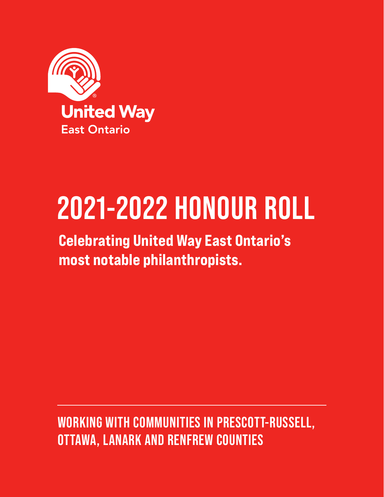

## **2021-2022 HONOUR ROLL**

#### Celebrating United Way East Ontario's most notable philanthropists.

#### **WORKING WITH COMMUNITIES IN PRESCOTT-RUSSELL, OTTAWA, LANARK AND RENFREW COUNTIES**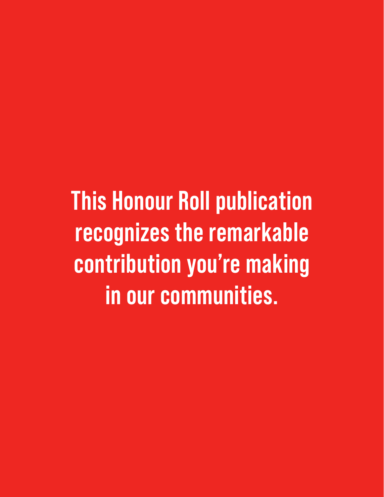**This Honour Roll publication recognizes the remarkable contribution you're making in our communities.**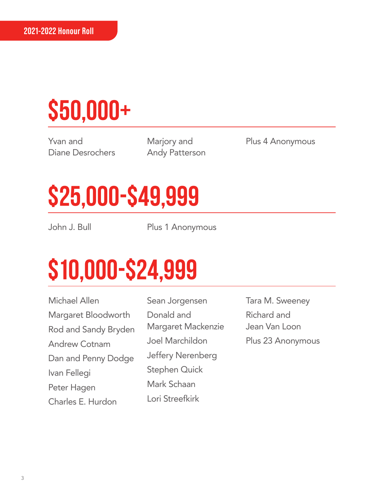#### **\$50,000+**

Yvan and Diane Desrochers

Marjory and Andy Patterson Plus 4 Anonymous

#### **\$25,000-\$49,999**

John J. Bull Plus 1 Anonymous

#### **\$10,000-\$24,999**

Michael Allen Margaret Bloodworth Rod and Sandy Bryden Andrew Cotnam Dan and Penny Dodge Ivan Fellegi Peter Hagen Charles E. Hurdon

Sean Jorgensen Donald and Margaret Mackenzie Joel Marchildon Jeffery Nerenberg Stephen Quick Mark Schaan Lori Streefkirk

Tara M. Sweeney Richard and Jean Van Loon Plus 23 Anonymous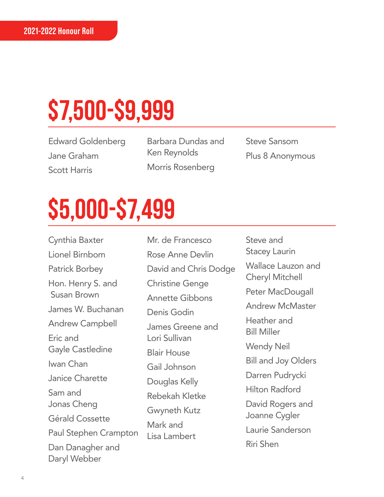### **\$7,500-\$9,999**

Edward Goldenberg Jane Graham Scott Harris

Barbara Dundas and Ken Reynolds Morris Rosenberg

Steve Sansom Plus 8 Anonymous

### **\$5,000-\$7,499**

Cynthia Baxter Lionel Birnbom Patrick Borbey Hon. Henry S. and Susan Brown James W. Buchanan Andrew Campbell Eric and Gayle Castledine Iwan Chan Janice Charette Sam and Jonas Cheng Gérald Cossette Paul Stephen Crampton Dan Danagher and Daryl Webber

Mr. de Francesco Rose Anne Devlin David and Chris Dodge Christine Genge Annette Gibbons Denis Godin James Greene and Lori Sullivan Blair House Gail Johnson Douglas Kelly Rebekah Kletke Gwyneth Kutz Mark and Lisa Lambert

Steve and Stacey Laurin Wallace Lauzon and Cheryl Mitchell Peter MacDougall Andrew McMaster Heather and Bill Miller Wendy Neil Bill and Joy Olders Darren Pudrycki Hilton Radford David Rogers and Joanne Cygler Laurie Sanderson Riri Shen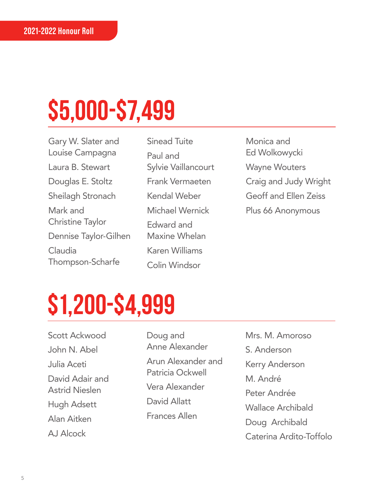### **\$5,000-\$7,499**

Gary W. Slater and Louise Campagna Laura B. Stewart Douglas E. Stoltz Sheilagh Stronach Mark and Christine Taylor Dennise Taylor-Gilhen Claudia Thompson-Scharfe

Sinead Tuite Paul and Sylvie Vaillancourt Frank Vermaeten Kendal Weber Michael Wernick Edward and Maxine Whelan Karen Williams Colin Windsor

Monica and Ed Wolkowycki Wayne Wouters Craig and Judy Wright Geoff and Ellen Zeiss Plus 66 Anonymous

#### **\$1,200-\$4,999**

Scott Ackwood John N. Abel Julia Aceti David Adair and Astrid Nieslen Hugh Adsett Alan Aitken AJ Alcock

Doug and Anne Alexander Arun Alexander and Patricia Ockwell Vera Alexander David Allatt Frances Allen

Mrs. M. Amoroso S. Anderson Kerry Anderson M. André Peter Andrée Wallace Archibald Doug Archibald Caterina Ardito-Toffolo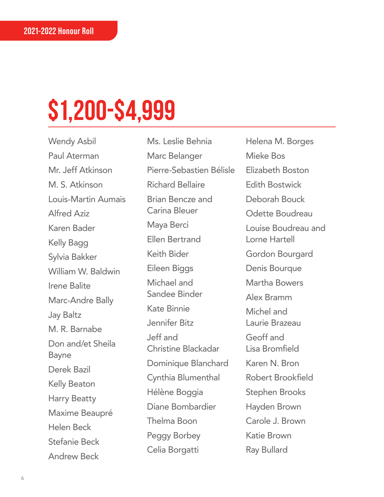Wendy Asbil Paul Aterman Mr. Jeff Atkinson M. S. Atkinson Louis-Martin Aumais Alfred Aziz Karen Bader Kelly Bagg Sylvia Bakker William W. Baldwin Irene Balite Marc-Andre Bally Jay Baltz M. R. Barnabe Don and/et Sheila Bayne Derek Bazil Kelly Beaton Harry Beatty Maxime Beaupré Helen Beck Stefanie Beck Andrew Beck

Ms. Leslie Behnia Marc Belanger Pierre-Sebastien Bélisle Richard Bellaire Brian Bencze and Carina Bleuer Maya Berci Ellen Bertrand Keith Bider Eileen Biggs Michael and Sandee Binder Kate Binnie Jennifer Bitz Jeff and Christine Blackadar Dominique Blanchard Cynthia Blumenthal Hélène Boggia Diane Bombardier Thelma Boon Peggy Borbey Celia Borgatti

Helena M. Borges Mieke Bos Elizabeth Boston Edith Bostwick Deborah Bouck Odette Boudreau Louise Boudreau and Lorne Hartell Gordon Bourgard Denis Bourque Martha Bowers Alex Bramm Michel and Laurie Brazeau Geoff and Lisa Bromfield Karen N. Bron Robert Brookfield Stephen Brooks Hayden Brown Carole J. Brown Katie Brown Ray Bullard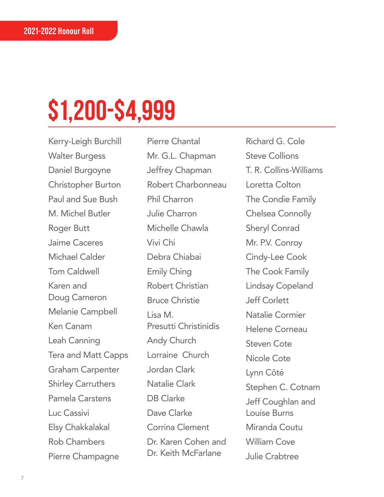Kerry-Leigh Burchill Walter Burgess Daniel Burgoyne Christopher Burton Paul and Sue Bush M. Michel Butler Roger Butt Jaime Caceres Michael Calder Tom Caldwell Karen and Doug Cameron Melanie Campbell Ken Canam Leah Canning Tera and Matt Capps Graham Carpenter Shirley Carruthers Pamela Carstens Luc Cassivi Elsy Chakkalakal Rob Chambers Pierre Champagne

Pierre Chantal Mr. G.L. Chapman Jeffrey Chapman Robert Charbonneau Phil Charron Julie Charron Michelle Chawla Vivi Chi Debra Chiabai Emily Ching Robert Christian Bruce Christie Lisa M. Presutti Christinidis Andy Church Lorraine Church Jordan Clark Natalie Clark DB Clarke Dave Clarke Corrina Clement Dr. Karen Cohen and Dr. Keith McFarlane

Richard G. Cole Steve Collions T. R. Collins-Williams Loretta Colton The Condie Family Chelsea Connolly Sheryl Conrad Mr. P.V. Conroy Cindy-Lee Cook The Cook Family Lindsay Copeland Jeff Corlett Natalie Cormier Helene Corneau Steven Cote Nicole Cote Lynn Côté Stephen C. Cotnam Jeff Coughlan and Louise Burns Miranda Coutu William Cove Julie Crabtree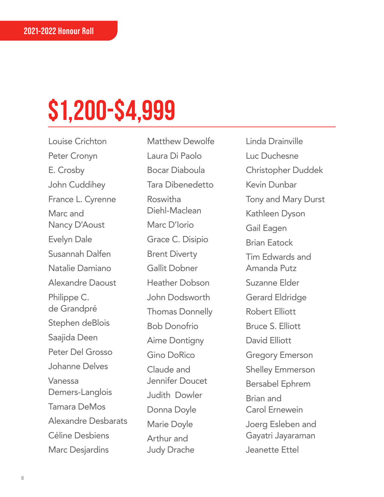Louise Crichton Peter Cronyn E. Crosby John Cuddihey France L. Cyrenne Marc and Nancy D'Aoust Evelyn Dale Susannah Dalfen Natalie Damiano Alexandre Daoust Philippe C. de Grandpré Stephen deBlois Saajida Deen Peter Del Grosso Johanne Delves Vanessa Demers-Langlois Tamara DeMos Alexandre Desbarats Céline Desbiens Marc Desjardins

Matthew Dewolfe Laura Di Paolo Bocar Diaboula Tara Dibenedetto Roswitha Diehl-Maclean Marc D'Iorio Grace C. Disipio Brent Diverty Gallit Dobner Heather Dobson John Dodsworth Thomas Donnelly Bob Donofrio Aime Dontigny Gino DoRico Claude and Jennifer Doucet Judith Dowler Donna Doyle Marie Doyle Arthur and Judy Drache

Linda Drainville Luc Duchesne Christopher Duddek Kevin Dunbar Tony and Mary Durst Kathleen Dyson Gail Eagen Brian Eatock Tim Edwards and Amanda Putz Suzanne Elder Gerard Eldridge Robert Elliott Bruce S. Elliott David Elliott Gregory Emerson Shelley Emmerson Bersabel Ephrem Brian and Carol Ernewein Joerg Esleben and Gayatri Jayaraman Jeanette Ettel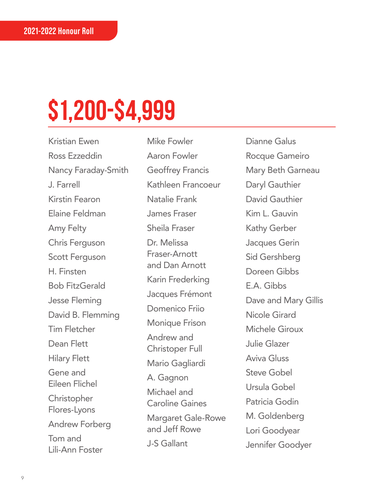Kristian Ewen Ross Ezzeddin Nancy Faraday-Smith J. Farrell Kirstin Fearon Elaine Feldman Amy Felty Chris Ferguson Scott Ferguson H. Finsten Bob FitzGerald Jesse Fleming David B. Flemming Tim Fletcher Dean Flett Hilary Flett Gene and Eileen Flichel **Christopher** Flores-Lyons Andrew Forberg Tom and Lili-Ann Foster

Mike Fowler Aaron Fowler Geoffrey Francis Kathleen Francoeur Natalie Frank James Fraser Sheila Fraser Dr. Melissa Fraser-Arnott and Dan Arnott Karin Frederking Jacques Frémont Domenico Friio Monique Frison Andrew and Christoper Full Mario Gagliardi A. Gagnon Michael and Caroline Gaines Margaret Gale-Rowe and Jeff Rowe J-S Gallant

Dianne Galus Rocque Gameiro Mary Beth Garneau Daryl Gauthier David Gauthier Kim L. Gauvin Kathy Gerber Jacques Gerin Sid Gershberg Doreen Gibbs E.A. Gibbs Dave and Mary Gillis Nicole Girard Michele Giroux Julie Glazer Aviva Gluss Steve Gobel Ursula Gobel Patricia Godin M. Goldenberg Lori Goodyear Jennifer Goodyer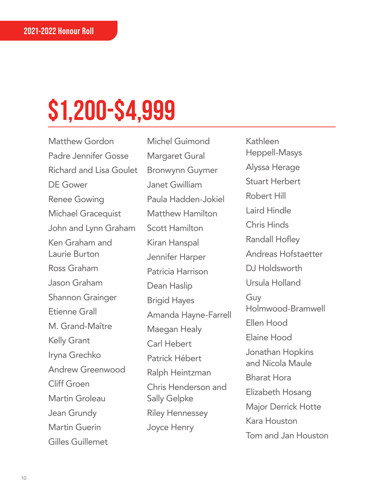Matthew Gordon Padre Jennifer Gosse Richard and Lisa Goulet DE Gower Renee Gowing Michael Gracequist John and Lynn Graham Ken Graham and Laurie Burton Ross Graham Jason Graham Shannon Grainger Etienne Grall M. Grand-Maître Kelly Grant Iryna Grechko Andrew Greenwood Cliff Groen Martin Groleau Jean Grundy Martin Guerin Gilles Guillemet

Michel Guimond Margaret Gural Bronwynn Guymer Janet Gwilliam Paula Hadden-Jokiel Matthew Hamilton Scott Hamilton Kiran Hanspal Jennifer Harper Patricia Harrison Dean Haslip Brigid Hayes Amanda Hayne-Farrell Maegan Healy Carl Hebert Patrick Hébert Ralph Heintzman Chris Henderson and Sally Gelpke Riley Hennessey Joyce Henry

Kathleen Heppell-Masys Alyssa Herage Stuart Herbert Robert Hill Laird Hindle Chris Hinds Randall Hofley Andreas Hofstaetter DJ Holdsworth Ursula Holland Guy Holmwood-Bramwell Ellen Hood Elaine Hood Jonathan Hopkins and Nicola Maule Bharat Hora Elizabeth Hosang Major Derrick Hotte Kara Houston Tom and Jan Houston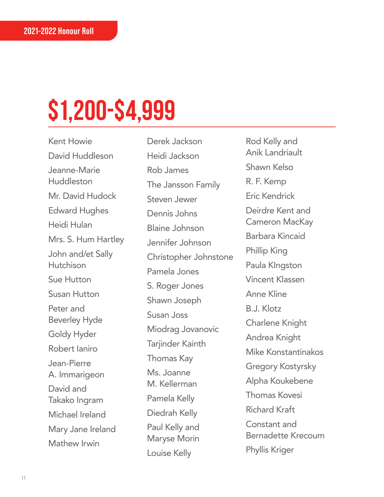Kent Howie David Huddleson Jeanne-Marie Huddleston Mr. David Hudock Edward Hughes Heidi Hulan Mrs. S. Hum Hartley John and/et Sally **Hutchison** Sue Hutton Susan Hutton Peter and Beverley Hyde Goldy Hyder Robert Ianiro Jean-Pierre A. Immarigeon David and Takako Ingram Michael Ireland Mary Jane Ireland Mathew Irwin

Derek Jackson Heidi Jackson Rob James The Jansson Family Steven Jewer Dennis Johns Blaine Johnson Jennifer Johnson Christopher Johnstone Pamela Jones S. Roger Jones Shawn Joseph Susan Joss Miodrag Jovanovic Tarjinder Kainth Thomas Kay Ms. Joanne M. Kellerman Pamela Kelly Diedrah Kelly Paul Kelly and Maryse Morin Louise Kelly

Rod Kelly and Anik Landriault Shawn Kelso R. F. Kemp Eric Kendrick Deirdre Kent and Cameron MacKay Barbara Kincaid Phillip King Paula KIngston Vincent Klassen Anne Kline B.J. Klotz Charlene Knight Andrea Knight Mike Konstantinakos Gregory Kostyrsky Alpha Koukebene Thomas Kovesi Richard Kraft Constant and Bernadette Krecoum Phyllis Kriger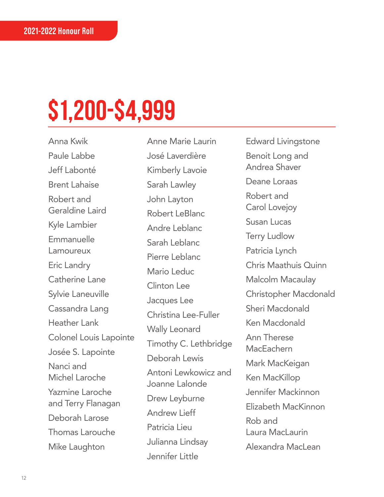Anna Kwik Paule Labbe Jeff Labonté Brent Lahaise Robert and Geraldine Laird Kyle Lambier Emmanuelle Lamoureux Eric Landry Catherine Lane Sylvie Laneuville Cassandra Lang Heather Lank Colonel Louis Lapointe Josée S. Lapointe Nanci and Michel Laroche Yazmine Laroche and Terry Flanagan Deborah Larose Thomas Larouche Mike Laughton

Anne Marie Laurin José Laverdière Kimberly Lavoie Sarah Lawley John Layton Robert LeBlanc Andre Leblanc Sarah Leblanc Pierre Leblanc Mario Leduc Clinton Lee Jacques Lee Christina Lee-Fuller Wally Leonard Timothy C. Lethbridge Deborah Lewis Antoni Lewkowicz and Joanne Lalonde Drew Leyburne Andrew Lieff Patricia Lieu Julianna Lindsay Jennifer Little

Edward Livingstone Benoit Long and Andrea Shaver Deane Loraas Robert and Carol Lovejoy Susan Lucas Terry Ludlow Patricia Lynch Chris Maathuis Quinn Malcolm Macaulay Christopher Macdonald Sheri Macdonald Ken Macdonald Ann Therese **MacFachern** Mark MacKeigan Ken MacKillop Jennifer Mackinnon Elizabeth MacKinnon Rob and Laura MacLaurin Alexandra MacLean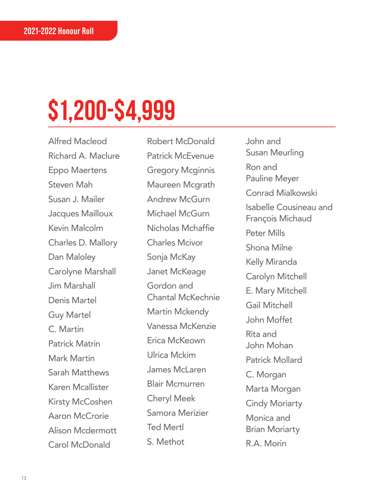Alfred Macleod Richard A. Maclure Eppo Maertens Steven Mah Susan J. Mailer Jacques Mailloux Kevin Malcolm Charles D. Mallory Dan Maloley Carolyne Marshall Jim Marshall Denis Martel Guy Martel C. Martin Patrick Matrin Mark Martin Sarah Matthews Karen Mcallister Kirsty McCoshen Aaron McCrorie Alison Mcdermott Carol McDonald

Robert McDonald Patrick McEvenue Gregory Mcginnis Maureen Mcgrath Andrew McGurn Michael McGurn Nicholas Mchaffie Charles Mcivor Sonja McKay Janet McKeage Gordon and Chantal McKechnie Martin Mckendy Vanessa McKenzie Erica McKeown Ulrica Mckim James McLaren Blair Mcmurren Cheryl Meek Samora Merizier Ted Mertl S. Methot

John and Susan Meurling Ron and Pauline Meyer Conrad Mialkowski Isabelle Cousineau and François Michaud Peter Mills Shona Milne Kelly Miranda Carolyn Mitchell E. Mary Mitchell Gail Mitchell John Moffet Rita and John Mohan Patrick Mollard C. Morgan Marta Morgan Cindy Moriarty Monica and Brian Moriarty R.A. Morin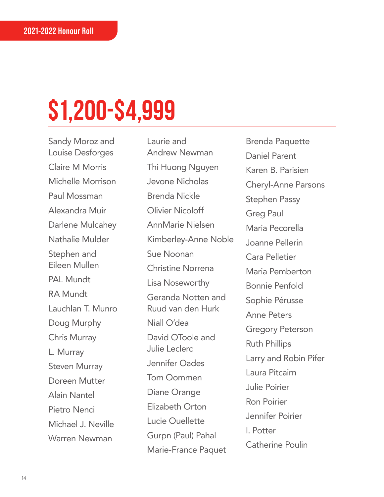Sandy Moroz and Louise Desforges Claire M Morris Michelle Morrison Paul Mossman Alexandra Muir Darlene Mulcahey Nathalie Mulder Stephen and Eileen Mullen PAL Mundt RA Mundt Lauchlan T. Munro Doug Murphy Chris Murray L. Murray Steven Murray Doreen Mutter Alain Nantel Pietro Nenci Michael J. Neville Warren Newman

Laurie and Andrew Newman Thi Huong Nguyen Jevone Nicholas Brenda Nickle Olivier Nicoloff AnnMarie Nielsen Kimberley-Anne Noble Sue Noonan Christine Norrena Lisa Noseworthy Geranda Notten and Ruud van den Hurk Niall O'dea David OToole and Julie Leclerc Jennifer Oades Tom Oommen Diane Orange Elizabeth Orton Lucie Ouellette Gurpn (Paul) Pahal Marie-France Paquet

Brenda Paquette Daniel Parent Karen B. Parisien Cheryl-Anne Parsons Stephen Passy Greg Paul Maria Pecorella Joanne Pellerin Cara Pelletier Maria Pemberton Bonnie Penfold Sophie Pérusse Anne Peters Gregory Peterson Ruth Phillips Larry and Robin Pifer Laura Pitcairn Julie Poirier Ron Poirier Jennifer Poirier I. Potter Catherine Poulin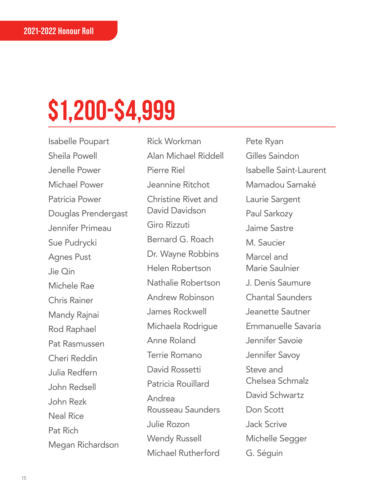Isabelle Poupart Sheila Powell Jenelle Power Michael Power Patricia Power Douglas Prendergast Jennifer Primeau Sue Pudrycki Agnes Pust Jie Qin Michele Rae Chris Rainer Mandy Rajnai Rod Raphael Pat Rasmussen Cheri Reddin Julia Redfern John Redsell John Rezk Neal Rice Pat Rich Megan Richardson

Rick Workman Alan Michael Riddell Pierre Riel Jeannine Ritchot Christine Rivet and David Davidson Giro Rizzuti Bernard G. Roach Dr. Wayne Robbins Helen Robertson Nathalie Robertson Andrew Robinson James Rockwell Michaela Rodrigue Anne Roland Terrie Romano David Rossetti Patricia Rouillard Andrea Rousseau Saunders Julie Rozon Wendy Russell Michael Rutherford

Pete Ryan Gilles Saindon Isabelle Saint-Laurent Mamadou Samaké Laurie Sargent Paul Sarkozy Jaime Sastre M. Saucier Marcel and Marie Saulnier J. Denis Saumure Chantal Saunders Jeanette Sautner Emmanuelle Savaria Jennifer Savoie Jennifer Savoy Steve and Chelsea Schmalz David Schwartz Don Scott Jack Scrive Michelle Segger G. Séguin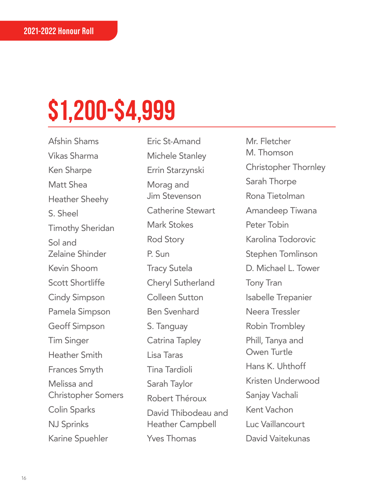Afshin Shams Vikas Sharma Ken Sharpe Matt Shea Heather Sheehy S. Sheel Timothy Sheridan Sol and Zelaine Shinder Kevin Shoom Scott Shortliffe Cindy Simpson Pamela Simpson Geoff Simpson Tim Singer Heather Smith Frances Smyth Melissa and Christopher Somers Colin Sparks NJ Sprinks Karine Spuehler

Eric St-Amand Michele Stanley Errin Starzynski Morag and Jim Stevenson Catherine Stewart Mark Stokes Rod Story P. Sun Tracy Sutela Cheryl Sutherland Colleen Sutton Ben Svenhard S. Tanguay Catrina Tapley Lisa Taras Tina Tardioli Sarah Taylor Robert Théroux David Thibodeau and Heather Campbell Yves Thomas

Mr. Fletcher M. Thomson Christopher Thornley Sarah Thorpe Rona Tietolman Amandeep Tiwana Peter Tobin Karolina Todorovic Stephen Tomlinson D. Michael L. Tower Tony Tran Isabelle Trepanier Neera Tressler Robin Trombley Phill, Tanya and Owen Turtle Hans K. Uhthoff Kristen Underwood Sanjay Vachali Kent Vachon Luc Vaillancourt David Vaitekunas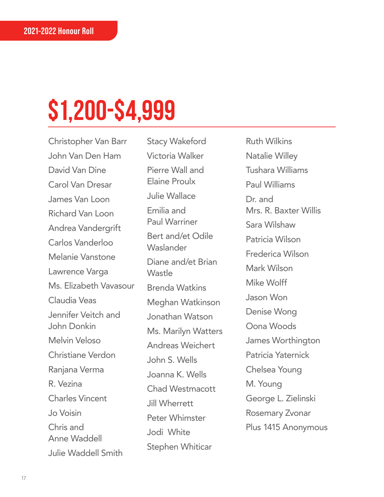Christopher Van Barr John Van Den Ham David Van Dine Carol Van Dresar James Van Loon Richard Van Loon Andrea Vandergrift Carlos Vanderloo Melanie Vanstone Lawrence Varga Ms. Elizabeth Vavasour Claudia Veas Jennifer Veitch and John Donkin Melvin Veloso Christiane Verdon Ranjana Verma R. Vezina Charles Vincent Jo Voisin Chris and Anne Waddell Julie Waddell Smith

Stacy Wakeford Victoria Walker Pierre Wall and Elaine Proulx Julie Wallace Emilia and Paul Warriner Bert and/et Odile **Waslander** Diane and/et Brian Wastle Brenda Watkins Meghan Watkinson Jonathan Watson Ms. Marilyn Watters Andreas Weichert John S. Wells Joanna K. Wells Chad Westmacott Jill Wherrett Peter Whimster Jodi White Stephen Whiticar

Ruth Wilkins Natalie Willey Tushara Williams Paul Williams Dr. and Mrs. R. Baxter Willis Sara Wilshaw Patricia Wilson Frederica Wilson Mark Wilson Mike Wolff Jason Won Denise Wong Oona Woods James Worthington Patricia Yaternick Chelsea Young M. Young George L. Zielinski Rosemary Zvonar Plus 1415 Anonymous